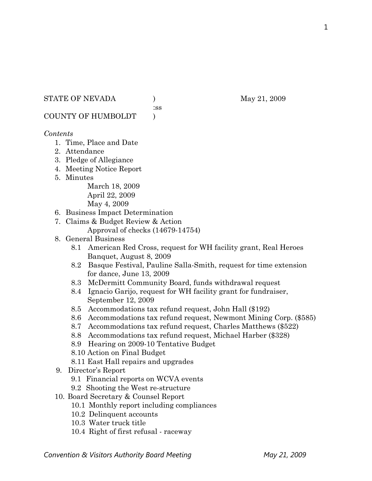## STATE OF NEVADA (a) (b) May 21, 2009

:ss

COUNTY OF HUMBOLDT )

# *Contents*

- 1. Time, Place and Date
- 2. Attendance
- 3. Pledge of Allegiance
- 4. Meeting Notice Report
- 5. Minutes

March 18, 2009 April 22, 2009 May 4, 2009

- 6. Business Impact Determination
- 7. Claims & Budget Review & Action
	- Approval of checks (14679-14754)
- 8. General Business
	- 8.1 American Red Cross, request for WH facility grant, Real Heroes Banquet, August 8, 2009
	- 8.2 Basque Festival, Pauline Salla-Smith, request for time extension for dance, June 13, 2009
	- 8.3 McDermitt Community Board, funds withdrawal request
	- 8.4 Ignacio Garijo, request for WH facility grant for fundraiser, September 12, 2009
	- 8.5 Accommodations tax refund request, John Hall (\$192)
	- 8.6 Accommodations tax refund request, Newmont Mining Corp. (\$585)
	- 8.7 Accommodations tax refund request, Charles Matthews (\$522)
	- 8.8 Accommodations tax refund request, Michael Harber (\$328)
	- 8.9 Hearing on 2009-10 Tentative Budget
	- 8.10 Action on Final Budget
	- 8.11 East Hall repairs and upgrades
- 9. Director's Report
	- 9.1 Financial reports on WCVA events
	- 9.2 Shooting the West re-structure
- 10. Board Secretary & Counsel Report
	- 10.1 Monthly report including compliances
	- 10.2 Delinquent accounts
	- 10.3 Water truck title
	- 10.4 Right of first refusal raceway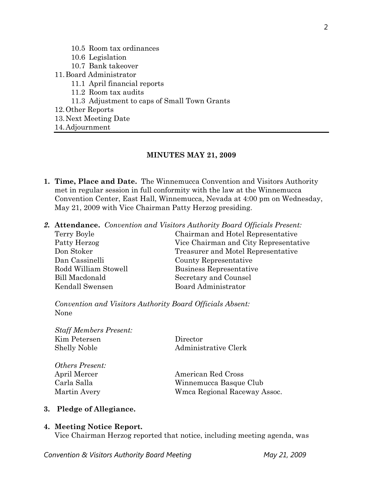- 10.5 Room tax ordinances
- 10.6 Legislation
- 10.7 Bank takeover
- 11.Board Administrator
	- 11.1 April financial reports
	- 11.2 Room tax audits
	- 11.3 Adjustment to caps of Small Town Grants
- 12.Other Reports
- 13.Next Meeting Date
- 14.Adjournment

#### **MINUTES MAY 21, 2009**

- **1. Time, Place and Date.** The Winnemucca Convention and Visitors Authority met in regular session in full conformity with the law at the Winnemucca Convention Center, East Hall, Winnemucca, Nevada at 4:00 pm on Wednesday, May 21, 2009 with Vice Chairman Patty Herzog presiding.
- *2.* **Attendance.** *Convention and Visitors Authority Board Officials Present:*

| Terry Boyle           | Chairman and Hotel Representative     |
|-----------------------|---------------------------------------|
| Patty Herzog          | Vice Chairman and City Representative |
| Don Stoker            | Treasurer and Motel Representative    |
| Dan Cassinelli        | County Representative                 |
| Rodd William Stowell  | Business Representative               |
| <b>Bill Macdonald</b> | Secretary and Counsel                 |
| Kendall Swensen       | Board Administrator                   |

*Convention and Visitors Authority Board Officials Absent:*  None

*Staff Members Present:*  Kim Petersen Director

Shelly Noble Administrative Clerk

| <i>Others Present:</i> |
|------------------------|
| April Mercer           |
| Carla Salla            |
| Martin Avery           |

American Red Cross Winnemucca Basque Club Wmca Regional Raceway Assoc.

### **3. Pledge of Allegiance.**

#### **4. Meeting Notice Report.**

Vice Chairman Herzog reported that notice, including meeting agenda, was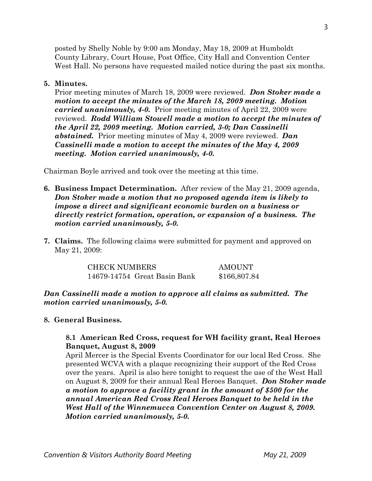posted by Shelly Noble by 9:00 am Monday, May 18, 2009 at Humboldt County Library, Court House, Post Office, City Hall and Convention Center West Hall. No persons have requested mailed notice during the past six months.

### **5. Minutes.**

Prior meeting minutes of March 18, 2009 were reviewed. *Don Stoker made a motion to accept the minutes of the March 18, 2009 meeting. Motion carried unanimously, 4-0.* Prior meeting minutes of April 22, 2009 were reviewed. *Rodd William Stowell made a motion to accept the minutes of the April 22, 2009 meeting. Motion carried, 3-0; Dan Cassinelli abstained.* Prior meeting minutes of May 4, 2009 were reviewed. *Dan Cassinelli made a motion to accept the minutes of the May 4, 2009 meeting. Motion carried unanimously, 4-0.* 

Chairman Boyle arrived and took over the meeting at this time.

- **6. Business Impact Determination.** After review of the May 21, 2009 agenda, *Don Stoker made a motion that no proposed agenda item is likely to impose a direct and significant economic burden on a business or directly restrict formation, operation, or expansion of a business. The motion carried unanimously, 5-0.*
- **7. Claims.** The following claims were submitted for payment and approved on May 21, 2009:

CHECK NUMBERS AMOUNT 14679-14754 Great Basin Bank \$166,807.84

*Dan Cassinelli made a motion to approve all claims as submitted. The motion carried unanimously, 5-0.* 

### **8. General Business.**

### **8.1 American Red Cross, request for WH facility grant, Real Heroes Banquet, August 8, 2009**

April Mercer is the Special Events Coordinator for our local Red Cross. She presented WCVA with a plaque recognizing their support of the Red Cross over the years. April is also here tonight to request the use of the West Hall on August 8, 2009 for their annual Real Heroes Banquet. *Don Stoker made a motion to approve a facility grant in the amount of \$500 for the annual American Red Cross Real Heroes Banquet to be held in the West Hall of the Winnemucca Convention Center on August 8, 2009. Motion carried unanimously, 5-0.*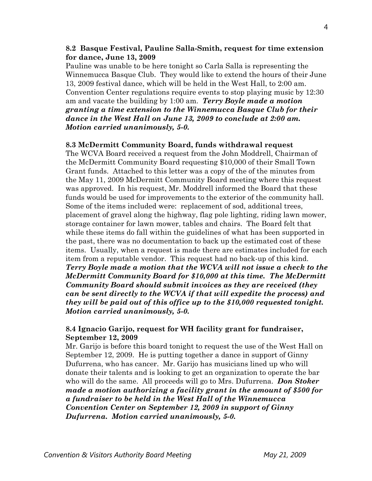### **8.2 Basque Festival, Pauline Salla-Smith, request for time extension for dance, June 13, 2009**

Pauline was unable to be here tonight so Carla Salla is representing the Winnemucca Basque Club. They would like to extend the hours of their June 13, 2009 festival dance, which will be held in the West Hall, to 2:00 am. Convention Center regulations require events to stop playing music by 12:30 am and vacate the building by 1:00 am. *Terry Boyle made a motion granting a time extension to the Winnemucca Basque Club for their dance in the West Hall on June 13, 2009 to conclude at 2:00 am. Motion carried unanimously, 5-0.* 

### **8.3 McDermitt Community Board, funds withdrawal request**

The WCVA Board received a request from the John Moddrell, Chairman of the McDermitt Community Board requesting \$10,000 of their Small Town Grant funds. Attached to this letter was a copy of the of the minutes from the May 11, 2009 McDermitt Community Board meeting where this request was approved. In his request, Mr. Moddrell informed the Board that these funds would be used for improvements to the exterior of the community hall. Some of the items included were: replacement of sod, additional trees, placement of gravel along the highway, flag pole lighting, riding lawn mower, storage container for lawn mower, tables and chairs. The Board felt that while these items do fall within the guidelines of what has been supported in the past, there was no documentation to back up the estimated cost of these items. Usually, when a request is made there are estimates included for each item from a reputable vendor. This request had no back-up of this kind. *Terry Boyle made a motion that the WCVA will not issue a check to the McDermitt Community Board for \$10,000 at this time. The McDermitt Community Board should submit invoices as they are received (they can be sent directly to the WCVA if that will expedite the process) and they will be paid out of this office up to the \$10,000 requested tonight. Motion carried unanimously, 5-0.* 

### **8.4 Ignacio Garijo, request for WH facility grant for fundraiser, September 12, 2009**

Mr. Garijo is before this board tonight to request the use of the West Hall on September 12, 2009. He is putting together a dance in support of Ginny Dufurrena, who has cancer. Mr. Garijo has musicians lined up who will donate their talents and is looking to get an organization to operate the bar who will do the same. All proceeds will go to Mrs. Dufurrena. *Don Stoker made a motion authorizing a facility grant in the amount of \$500 for a fundraiser to be held in the West Hall of the Winnemucca Convention Center on September 12, 2009 in support of Ginny Dufurrena. Motion carried unanimously, 5-0.*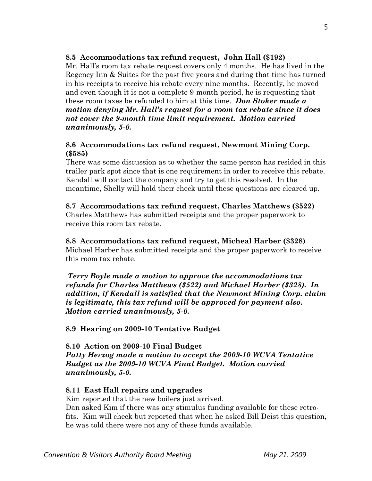### **8.5 Accommodations tax refund request, John Hall (\$192)**

Mr. Hall's room tax rebate request covers only 4 months. He has lived in the Regency Inn & Suites for the past five years and during that time has turned in his receipts to receive his rebate every nine months. Recently, he moved and even though it is not a complete 9-month period, he is requesting that these room taxes be refunded to him at this time. *Don Stoker made a motion denying Mr. Hall's request for a room tax rebate since it does not cover the 9-month time limit requirement. Motion carried unanimously, 5-0.* 

### **8.6 Accommodations tax refund request, Newmont Mining Corp. (\$585)**

There was some discussion as to whether the same person has resided in this trailer park spot since that is one requirement in order to receive this rebate. Kendall will contact the company and try to get this resolved. In the meantime, Shelly will hold their check until these questions are cleared up.

### **8.7 Accommodations tax refund request, Charles Matthews (\$522)**  Charles Matthews has submitted receipts and the proper paperwork to receive this room tax rebate.

#### **8.8 Accommodations tax refund request, Micheal Harber (\$328)**  Michael Harber has submitted receipts and the proper paperwork to receive this room tax rebate.

*Terry Boyle made a motion to approve the accommodations tax refunds for Charles Matthews (\$522) and Michael Harber (\$328). In addition, if Kendall is satisfied that the Newmont Mining Corp. claim is legitimate, this tax refund will be approved for payment also. Motion carried unanimously, 5-0.* 

**8.9 Hearing on 2009-10 Tentative Budget** 

## **8.10 Action on 2009-10 Final Budget**  *Patty Herzog made a motion to accept the 2009-10 WCVA Tentative Budget as the 2009-10 WCVA Final Budget. Motion carried unanimously, 5-0.*

# **8.11 East Hall repairs and upgrades**

Kim reported that the new boilers just arrived.

Dan asked Kim if there was any stimulus funding available for these retrofits. Kim will check but reported that when he asked Bill Deist this question, he was told there were not any of these funds available.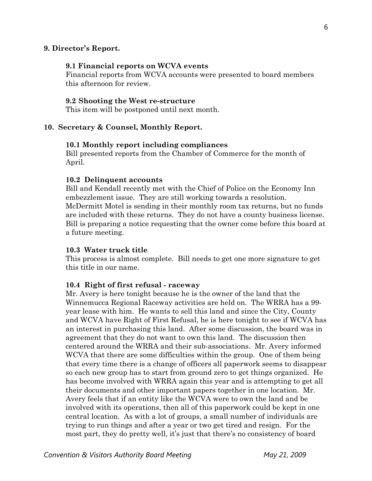#### **9. Director's Report.**

### **9.1 Financial reports on WCVA events**

Financial reports from WCVA accounts were presented to board members this afternoon for review.

#### **9.2 Shooting the West re-structure**

This item will be postponed until next month.

#### **10. Secretary & Counsel, Monthly Report.**

#### **10.1 Monthly report including compliances**

Bill presented reports from the Chamber of Commerce for the month of April.

#### **10.2 Delinquent accounts**

Bill and Kendall recently met with the Chief of Police on the Economy Inn embezzlement issue. They are still working towards a resolution. McDermitt Motel is sending in their monthly room tax returns, but no funds are included with these returns. They do not have a county business license. Bill is preparing a notice requesting that the owner come before this board at a future meeting.

#### **10.3 Water truck title**

This process is almost complete. Bill needs to get one more signature to get this title in our name.

#### **10.4 Right of first refusal - raceway**

Mr. Avery is here tonight because he is the owner of the land that the Winnemucca Regional Raceway activities are held on. The WRRA has a 99 year lease with him. He wants to sell this land and since the City, County and WCVA have Right of First Refusal, he is here tonight to see if WCVA has an interest in purchasing this land. After some discussion, the board was in agreement that they do not want to own this land. The discussion then centered around the WRRA and their sub-associations. Mr. Avery informed WCVA that there are some difficulties within the group. One of them being that every time there is a change of officers all paperwork seems to disappear so each new group has to start from ground zero to get things organized. He has become involved with WRRA again this year and is attempting to get all their documents and other important papers together in one location. Mr. Avery feels that if an entity like the WCVA were to own the land and be involved with its operations, then all of this paperwork could be kept in one central location. As with a lot of groups, a small number of individuals are trying to run things and after a year or two get tired and resign. For the most part, they do pretty well, it's just that there's no consistency of board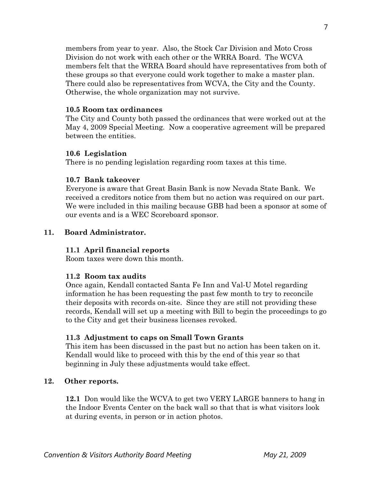members from year to year. Also, the Stock Car Division and Moto Cross Division do not work with each other or the WRRA Board. The WCVA members felt that the WRRA Board should have representatives from both of these groups so that everyone could work together to make a master plan. There could also be representatives from WCVA, the City and the County. Otherwise, the whole organization may not survive.

### **10.5 Room tax ordinances**

The City and County both passed the ordinances that were worked out at the May 4, 2009 Special Meeting. Now a cooperative agreement will be prepared between the entities.

## **10.6 Legislation**

There is no pending legislation regarding room taxes at this time.

# **10.7 Bank takeover**

Everyone is aware that Great Basin Bank is now Nevada State Bank. We received a creditors notice from them but no action was required on our part. We were included in this mailing because GBB had been a sponsor at some of our events and is a WEC Scoreboard sponsor.

## **11. Board Administrator.**

# **11.1 April financial reports**

Room taxes were down this month.

# **11.2 Room tax audits**

 Once again, Kendall contacted Santa Fe Inn and Val-U Motel regarding information he has been requesting the past few month to try to reconcile their deposits with records on-site. Since they are still not providing these records, Kendall will set up a meeting with Bill to begin the proceedings to go to the City and get their business licenses revoked.

# **11.3 Adjustment to caps on Small Town Grants**

This item has been discussed in the past but no action has been taken on it. Kendall would like to proceed with this by the end of this year so that beginning in July these adjustments would take effect.

### **12. Other reports.**

 **12.1** Don would like the WCVA to get two VERY LARGE banners to hang in the Indoor Events Center on the back wall so that that is what visitors look at during events, in person or in action photos.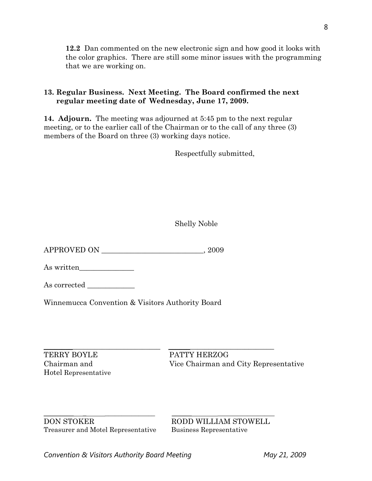**12.2** Dan commented on the new electronic sign and how good it looks with the color graphics. There are still some minor issues with the programming that we are working on.

# **13. Regular Business. Next Meeting. The Board confirmed the next regular meeting date of Wednesday, June 17, 2009.**

**14. Adjourn.** The meeting was adjourned at 5:45 pm to the next regular meeting, or to the earlier call of the Chairman or to the call of any three (3) members of the Board on three (3) working days notice.

Respectfully submitted,

Shelly Noble

APPROVED ON \_\_\_\_\_\_\_\_\_\_\_\_\_\_\_\_\_\_\_\_\_\_\_\_\_\_\_\_, 2009

As written\_\_\_\_\_\_\_\_\_\_\_\_\_\_\_

As corrected

Winnemucca Convention & Visitors Authority Board

 $\_$  ,  $\_$  ,  $\_$  ,  $\_$  ,  $\_$  ,  $\_$  ,  $\_$  ,  $\_$  ,  $\_$  ,  $\_$  ,  $\_$  ,  $\_$  ,  $\_$  ,  $\_$  ,  $\_$  ,  $\_$  ,  $\_$  ,  $\_$  ,  $\_$  ,  $\_$  ,  $\_$  ,  $\_$  ,  $\_$  ,  $\_$  ,  $\_$  ,  $\_$  ,  $\_$  ,  $\_$  ,  $\_$  ,  $\_$  ,  $\_$  ,  $\_$  ,  $\_$  ,  $\_$  ,  $\_$  ,  $\_$  ,  $\_$  , TERRY BOYLE PATTY HERZOG Hotel Representative

Chairman and Vice Chairman and City Representative

\_\_\_\_\_\_\_\_\_ \_ \_\_\_\_\_\_\_\_\_\_\_\_\_\_\_ \_\_\_\_\_\_ \_\_\_\_\_\_\_\_\_\_\_\_\_\_\_\_\_ DON STOKER RODD WILLIAM STOWELL Treasurer and Motel Representative Business Representative

Convention & Visitors Authority Board Meeting **May 21, 2009**